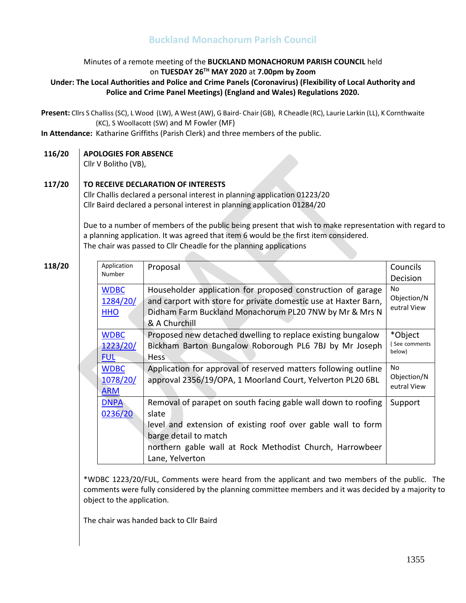# **Buckland Monachorum Parish Council**

## Minutes of a remote meeting of the **BUCKLAND MONACHORUM PARISH COUNCIL** held on **TUESDAY 26 TH MAY 2020** at **7.00pm by Zoom**

### **Under: The Local Authorities and Police and Crime Panels (Coronavirus) (Flexibility of Local Authority and Police and Crime Panel Meetings) (England and Wales) Regulations 2020.**

**Present:** Cllrs S Challiss(SC), L Wood (LW), A West (AW), G Baird- Chair (GB), R Cheadle (RC), Laurie Larkin (LL), K Cornthwaite (KC), S Woollacott (SW) and M Fowler (MF)

**In Attendance:** Katharine Griffiths (Parish Clerk) and three members of the public.

#### **116/20 APOLOGIES FOR ABSENCE**

Cllr V Bolitho (VB),

#### **117/20 TO RECEIVE DECLARATION OF INTERESTS**

Cllr Challis declared a personal interest in planning application 01223/20 Cllr Baird declared a personal interest in planning application 01284/20

Due to a number of members of the public being present that wish to make representation with regard to a planning application. It was agreed that item 6 would be the first item considered. The chair was passed to Cllr Cheadle for the planning applications

### **118/20**

|  | Application | Proposal                                                        | Councils                   |  |
|--|-------------|-----------------------------------------------------------------|----------------------------|--|
|  | Number      |                                                                 | Decision                   |  |
|  | <b>WDBC</b> | Householder application for proposed construction of garage     | No.                        |  |
|  | 1284/20/    | and carport with store for private domestic use at Haxter Barn, | Objection/N                |  |
|  | <b>HHO</b>  | Didham Farm Buckland Monachorum PL20 7NW by Mr & Mrs N          | eutral View                |  |
|  |             | & A Churchill                                                   |                            |  |
|  | <b>WDBC</b> | Proposed new detached dwelling to replace existing bungalow     | *Object                    |  |
|  | 1223/20/    | Bickham Barton Bungalow Roborough PL6 7BJ by Mr Joseph          | See comments<br>below)     |  |
|  | <b>FUL</b>  | <b>Hess</b>                                                     |                            |  |
|  | <b>WDBC</b> | Application for approval of reserved matters following outline  | N <sub>o</sub>             |  |
|  | 1078/20/    | approval 2356/19/OPA, 1 Moorland Court, Yelverton PL20 6BL      | Objection/N<br>eutral View |  |
|  | <b>ARM</b>  |                                                                 |                            |  |
|  | <b>DNPA</b> | Removal of parapet on south facing gable wall down to roofing   | Support                    |  |
|  | 0236/20     | slate                                                           |                            |  |
|  |             | level and extension of existing roof over gable wall to form    |                            |  |
|  |             | barge detail to match                                           |                            |  |
|  |             | northern gable wall at Rock Methodist Church, Harrowbeer        |                            |  |
|  |             | Lane, Yelverton                                                 |                            |  |

\*WDBC 1223/20/FUL, Comments were heard from the applicant and two members of the public. The comments were fully considered by the planning committee members and it was decided by a majority to object to the application.

The chair was handed back to Cllr Baird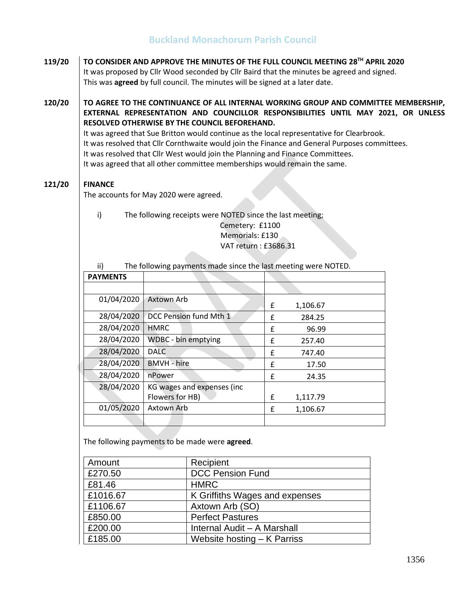# **Buckland Monachorum Parish Council**

**119/20 TO CONSIDER AND APPROVE THE MINUTES OF THE FULL COUNCIL MEETING 28 TH APRIL 2020**  It was proposed by Cllr Wood seconded by Cllr Baird that the minutes be agreed and signed. This was **agreed** by full council. The minutes will be signed at a later date.

**120/20 TO AGREE TO THE CONTINUANCE OF ALL INTERNAL WORKING GROUP AND COMMITTEE MEMBERSHIP, EXTERNAL REPRESENTATION AND COUNCILLOR RESPONSIBILITIES UNTIL MAY 2021, OR UNLESS RESOLVED OTHERWISE BY THE COUNCIL BEFOREHAND.**

It was agreed that Sue Britton would continue as the local representative for Clearbrook. It was resolved that Cllr Cornthwaite would join the Finance and General Purposes committees. It was resolved that Cllr West would join the Planning and Finance Committees. It was agreed that all other committee memberships would remain the same.

#### **121/20 FINANCE**

The accounts for May 2020 were agreed.

i) The following receipts were NOTED since the last meeting; Cemetery: £1100 Memorials: £130 VAT return : £3686.31

| ii)<br>The following payments made since the last meeting were NOTED. |                             |   |          |  |
|-----------------------------------------------------------------------|-----------------------------|---|----------|--|
| <b>PAYMENTS</b>                                                       |                             |   |          |  |
|                                                                       |                             |   |          |  |
| 01/04/2020                                                            | Axtown Arb                  | £ | 1,106.67 |  |
| 28/04/2020                                                            | DCC Pension fund Mth 1      | f | 284.25   |  |
| 28/04/2020                                                            | <b>HMRC</b>                 | f | 96.99    |  |
| 28/04/2020                                                            | <b>WDBC</b> - bin emptying  | f | 257.40   |  |
| 28/04/2020                                                            | <b>DALC</b>                 | £ | 747.40   |  |
| 28/04/2020                                                            | <b>BMVH</b> - hire          | f | 17.50    |  |
| 28/04/2020                                                            | nPower                      | f | 24.35    |  |
| 28/04/2020                                                            | KG wages and expenses (inc. |   |          |  |
|                                                                       | Flowers for HB)             | £ | 1,117.79 |  |
| 01/05/2020                                                            | Axtown Arb                  | £ | 1,106.67 |  |
|                                                                       |                             |   |          |  |

The following payments to be made were **agreed**.

| Amount   | Recipient                      |
|----------|--------------------------------|
| £270.50  | <b>DCC Pension Fund</b>        |
| £81.46   | <b>HMRC</b>                    |
| £1016.67 | K Griffiths Wages and expenses |
| £1106.67 | Axtown Arb (SO)                |
| £850.00  | <b>Perfect Pastures</b>        |
| £200.00  | Internal Audit - A Marshall    |
| £185.00  | Website hosting – K Parriss    |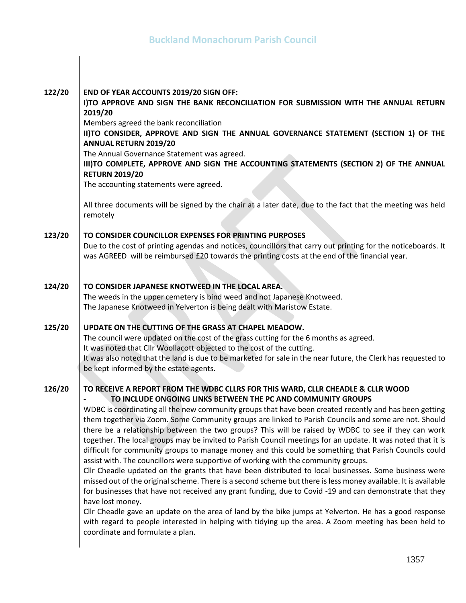| 122/20 | END OF YEAR ACCOUNTS 2019/20 SIGN OFF:<br>I)TO APPROVE AND SIGN THE BANK RECONCILIATION FOR SUBMISSION WITH THE ANNUAL RETURN<br>2019/20<br>Members agreed the bank reconciliation<br>II)TO CONSIDER, APPROVE AND SIGN THE ANNUAL GOVERNANCE STATEMENT (SECTION 1) OF THE<br><b>ANNUAL RETURN 2019/20</b><br>The Annual Governance Statement was agreed.<br>III)TO COMPLETE, APPROVE AND SIGN THE ACCOUNTING STATEMENTS (SECTION 2) OF THE ANNUAL<br><b>RETURN 2019/20</b><br>The accounting statements were agreed.<br>All three documents will be signed by the chair at a later date, due to the fact that the meeting was held<br>remotely                                                                                                                                                                                                                                                                                                                                                                                                                                                                                                                                                                                                                                                                                                                                                          |
|--------|---------------------------------------------------------------------------------------------------------------------------------------------------------------------------------------------------------------------------------------------------------------------------------------------------------------------------------------------------------------------------------------------------------------------------------------------------------------------------------------------------------------------------------------------------------------------------------------------------------------------------------------------------------------------------------------------------------------------------------------------------------------------------------------------------------------------------------------------------------------------------------------------------------------------------------------------------------------------------------------------------------------------------------------------------------------------------------------------------------------------------------------------------------------------------------------------------------------------------------------------------------------------------------------------------------------------------------------------------------------------------------------------------------|
| 123/20 | TO CONSIDER COUNCILLOR EXPENSES FOR PRINTING PURPOSES<br>Due to the cost of printing agendas and notices, councillors that carry out printing for the noticeboards. It<br>was AGREED will be reimbursed £20 towards the printing costs at the end of the financial year.                                                                                                                                                                                                                                                                                                                                                                                                                                                                                                                                                                                                                                                                                                                                                                                                                                                                                                                                                                                                                                                                                                                                |
| 124/20 | TO CONSIDER JAPANESE KNOTWEED IN THE LOCAL AREA.<br>The weeds in the upper cemetery is bind weed and not Japanese Knotweed.<br>The Japanese Knotweed in Yelverton is being dealt with Maristow Estate.                                                                                                                                                                                                                                                                                                                                                                                                                                                                                                                                                                                                                                                                                                                                                                                                                                                                                                                                                                                                                                                                                                                                                                                                  |
| 125/20 | UPDATE ON THE CUTTING OF THE GRASS AT CHAPEL MEADOW.<br>The council were updated on the cost of the grass cutting for the 6 months as agreed.<br>It was noted that Cllr Woollacott objected to the cost of the cutting.<br>It was also noted that the land is due to be marketed for sale in the near future, the Clerk has requested to<br>be kept informed by the estate agents.                                                                                                                                                                                                                                                                                                                                                                                                                                                                                                                                                                                                                                                                                                                                                                                                                                                                                                                                                                                                                      |
| 126/20 | TO RECEIVE A REPORT FROM THE WDBC CLLRS FOR THIS WARD, CLLR CHEADLE & CLLR WOOD<br>TO INCLUDE ONGOING LINKS BETWEEN THE PC AND COMMUNITY GROUPS<br>WDBC is coordinating all the new community groups that have been created recently and has been getting<br>them together via Zoom. Some Community groups are linked to Parish Councils and some are not. Should<br>there be a relationship between the two groups? This will be raised by WDBC to see if they can work<br>together. The local groups may be invited to Parish Council meetings for an update. It was noted that it is<br>difficult for community groups to manage money and this could be something that Parish Councils could<br>assist with. The councillors were supportive of working with the community groups.<br>Cllr Cheadle updated on the grants that have been distributed to local businesses. Some business were<br>missed out of the original scheme. There is a second scheme but there is less money available. It is available<br>for businesses that have not received any grant funding, due to Covid -19 and can demonstrate that they<br>have lost money.<br>Cllr Cheadle gave an update on the area of land by the bike jumps at Yelverton. He has a good response<br>with regard to people interested in helping with tidying up the area. A Zoom meeting has been held to<br>coordinate and formulate a plan. |